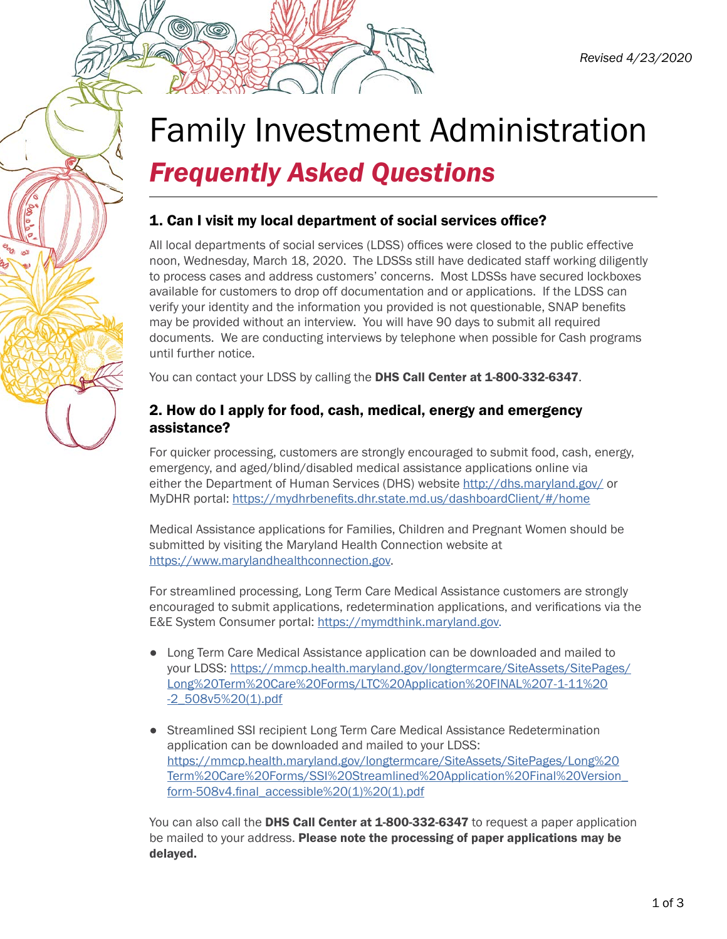# Family Investment Administration *Frequently Asked Questions*

### 1. Can I visit my local department of social services office?

All local departments of social services (LDSS) offices were closed to the public effective noon, Wednesday, March 18, 2020. The LDSSs still have dedicated staff working diligently to process cases and address customers' concerns. Most LDSSs have secured lockboxes available for customers to drop off documentation and or applications. If the LDSS can verify your identity and the information you provided is not questionable, SNAP benefits may be provided without an interview. You will have 90 days to submit all required documents. We are conducting interviews by telephone when possible for Cash programs until further notice.

You can contact your LDSS by calling the DHS Call Center at 1-800-332-6347.

#### 2. How do I apply for food, cash, medical, energy and emergency assistance?

For quicker processing, customers are strongly encouraged to submit food, cash, energy, emergency, and aged/blind/disabled medical assistance applications online via either the Department of Human Services (DHS) website<http://dhs.maryland.gov/> or MyDHR portal: <https://mydhrbenefits.dhr.state.md.us/dashboardClient/#/home>

Medical Assistance applications for Families, Children and Pregnant Women should be submitted by visiting the Maryland Health Connection website at [https://www.marylandhealthconnection.gov.](https://www.marylandhealthconnection.gov)

For streamlined processing, Long Term Care Medical Assistance customers are strongly encouraged to submit applications, redetermination applications, and verifications via the E&E System Consumer portal: <https://mymdthink.maryland.gov>.

- Long Term Care Medical Assistance application can be downloaded and mailed to your LDSS: [https://mmcp.health.maryland.gov/longtermcare/SiteAssets/SitePages/](https://mmcp.health.maryland.gov/longtermcare/SiteAssets/SitePages/Long%20Term%20Care%20Forms/LTC%20Application%20FINAL%207-1-11%20-2_508v5%20(1).pdf) [Long%20Term%20Care%20Forms/LTC%20Application%20FINAL%207-1-11%20](https://mmcp.health.maryland.gov/longtermcare/SiteAssets/SitePages/Long%20Term%20Care%20Forms/LTC%20Application%20FINAL%207-1-11%20-2_508v5%20(1).pdf) [-2\\_508v5%20\(1\).pdf](https://mmcp.health.maryland.gov/longtermcare/SiteAssets/SitePages/Long%20Term%20Care%20Forms/LTC%20Application%20FINAL%207-1-11%20-2_508v5%20(1).pdf)
- Streamlined SSI recipient Long Term Care Medical Assistance Redetermination application can be downloaded and mailed to your LDSS: [https://mmcp.health.maryland.gov/longtermcare/SiteAssets/SitePages/Long%20](https://mmcp.health.maryland.gov/longtermcare/SiteAssets/SitePages/Long%20Term%20Care%20Forms/SSI%20Streamlined%20Application%20Final%20Version_form-508v4.final_accessible%20(1)%20(1).pdf) [Term%20Care%20Forms/SSI%20Streamlined%20Application%20Final%20Version\\_](https://mmcp.health.maryland.gov/longtermcare/SiteAssets/SitePages/Long%20Term%20Care%20Forms/SSI%20Streamlined%20Application%20Final%20Version_form-508v4.final_accessible%20(1)%20(1).pdf) [form-508v4.final\\_accessible%20\(1\)%20\(1\).pdf](https://mmcp.health.maryland.gov/longtermcare/SiteAssets/SitePages/Long%20Term%20Care%20Forms/SSI%20Streamlined%20Application%20Final%20Version_form-508v4.final_accessible%20(1)%20(1).pdf)

You can also call the DHS Call Center at 1-800-332-6347 to request a paper application be mailed to your address. Please note the processing of paper applications may be delayed.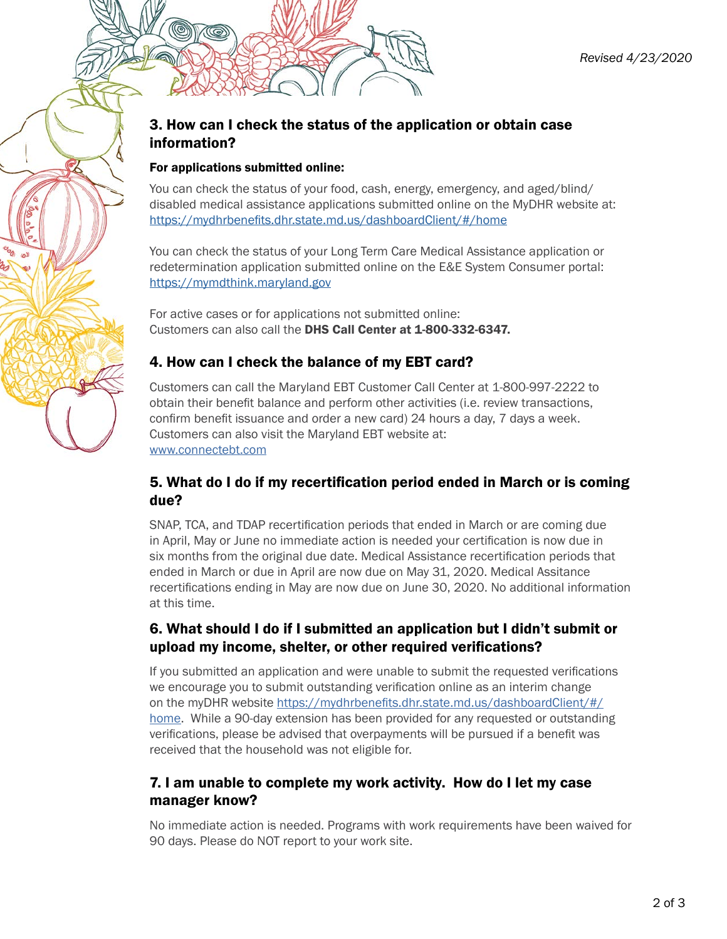### 3. How can I check the status of the application or obtain case information?

#### For applications submitted online:

You can check the status of your food, cash, energy, emergency, and aged/blind/ disabled medical assistance applications submitted online on the MyDHR website at: <https://mydhrbenefits.dhr.state.md.us/dashboardClient/#/home>

You can check the status of your Long Term Care Medical Assistance application or redetermination application submitted online on the E&E System Consumer portal: <https://mymdthink.maryland.gov>

For active cases or for applications not submitted online: Customers can also call the DHS Call Center at 1-800-332-6347.

#### 4. How can I check the balance of my EBT card?

Customers can call the Maryland EBT Customer Call Center at 1-800-997-2222 to obtain their benefit balance and perform other activities (i.e. review transactions, confirm benefit issuance and order a new card) 24 hours a day, 7 days a week. Customers can also visit the Maryland EBT website at: [www.connectebt.com](http://www.connectebt.com)

#### 5. What do I do if my recertification period ended in March or is coming due?

SNAP, TCA, and TDAP recertification periods that ended in March or are coming due in April, May or June no immediate action is needed your certification is now due in six months from the original due date. Medical Assistance recertification periods that ended in March or due in April are now due on May 31, 2020. Medical Assitance recertifications ending in May are now due on June 30, 2020. No additional information at this time.

#### 6. What should I do if I submitted an application but I didn't submit or upload my income, shelter, or other required verifications?

If you submitted an application and were unable to submit the requested verifications we encourage you to submit outstanding verification online as an interim change on the myDHR website [https://mydhrbenefits.dhr.state.md.us/dashboardClient/#/](https://mydhrbenefits.dhr.state.md.us/dashboardClient/#/home) [home](https://mydhrbenefits.dhr.state.md.us/dashboardClient/#/home). While a 90-day extension has been provided for any requested or outstanding verifications, please be advised that overpayments will be pursued if a benefit was received that the household was not eligible for.

#### 7. I am unable to complete my work activity. How do I let my case manager know?

No immediate action is needed. Programs with work requirements have been waived for 90 days. Please do NOT report to your work site.